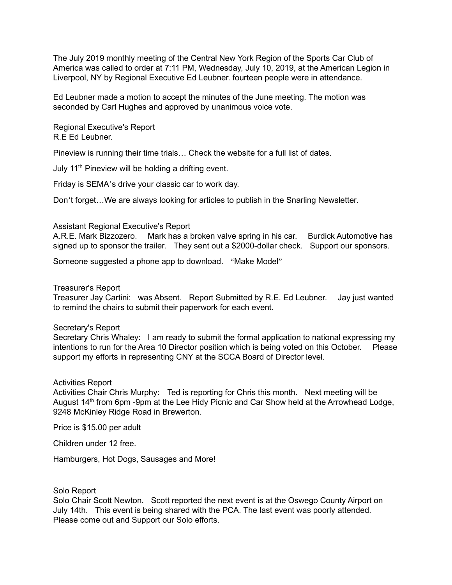The July 2019 monthly meeting of the Central New York Region of the Sports Car Club of America was called to order at 7:11 PM, Wednesday, July 10, 2019, at the American Legion in Liverpool, NY by Regional Executive Ed Leubner. fourteen people were in attendance.

Ed Leubner made a motion to accept the minutes of the June meeting. The motion was seconded by Carl Hughes and approved by unanimous voice vote.

Regional Executive's Report R.E Ed Leubner.

Pineview is running their time trials… Check the website for a full list of dates.

July  $11<sup>th</sup>$  Pineview will be holding a drifting event.

Friday is SEMA's drive your classic car to work day.

Don't forget…We are always looking for articles to publish in the Snarling Newsletter.

# Assistant Regional Executive's Report

A.R.E. Mark Bizzozero. Mark has a broken valve spring in his car. Burdick Automotive has signed up to sponsor the trailer. They sent out a \$2000-dollar check. Support our sponsors.

Someone suggested a phone app to download. "Make Model"

# Treasurer's Report

Treasurer Jay Cartini: was Absent. Report Submitted by R.E. Ed Leubner. Jay just wanted to remind the chairs to submit their paperwork for each event.

### Secretary's Report

Secretary Chris Whaley: I am ready to submit the formal application to national expressing my intentions to run for the Area 10 Director position which is being voted on this October. Please support my efforts in representing CNY at the SCCA Board of Director level.

# Activities Report

Activities Chair Chris Murphy: Ted is reporting for Chris this month. Next meeting will be August 14<sup>th</sup> from 6pm -9pm at the Lee Hidy Picnic and Car Show held at the Arrowhead Lodge, 9248 McKinley Ridge Road in Brewerton.

Price is \$15.00 per adult

Children under 12 free.

Hamburgers, Hot Dogs, Sausages and More!

### Solo Report

Solo Chair Scott Newton. Scott reported the next event is at the Oswego County Airport on July 14th. This event is being shared with the PCA. The last event was poorly attended. Please come out and Support our Solo efforts.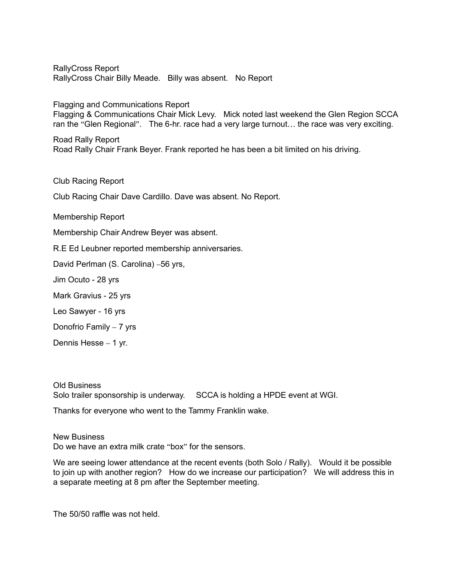RallyCross Report RallyCross Chair Billy Meade. Billy was absent. No Report

Flagging and Communications Report

Flagging & Communications Chair Mick Levy. Mick noted last weekend the Glen Region SCCA ran the "Glen Regional". The 6-hr. race had a very large turnout… the race was very exciting.

Road Rally Report Road Rally Chair Frank Beyer. Frank reported he has been a bit limited on his driving.

Club Racing Report

Club Racing Chair Dave Cardillo. Dave was absent. No Report.

Membership Report

Membership Chair Andrew Beyer was absent.

R.E Ed Leubner reported membership anniversaries.

David Perlman (S. Carolina) –56 yrs,

Jim Ocuto - 28 yrs

Mark Gravius - 25 yrs

Leo Sawyer - 16 yrs

Donofrio Family – 7 yrs

Dennis Hesse – 1 yr.

Old Business Solo trailer sponsorship is underway. SCCA is holding a HPDE event at WGI.

Thanks for everyone who went to the Tammy Franklin wake.

New Business Do we have an extra milk crate "box" for the sensors.

We are seeing lower attendance at the recent events (both Solo / Rally). Would it be possible to join up with another region? How do we increase our participation? We will address this in a separate meeting at 8 pm after the September meeting.

The 50/50 raffle was not held.